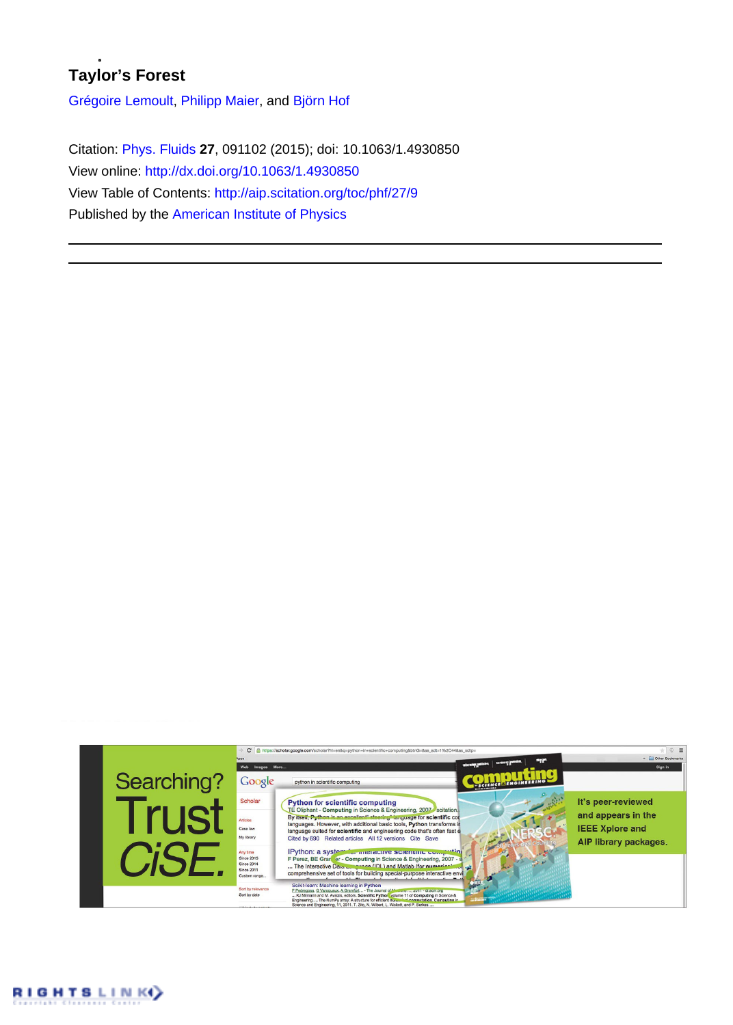## **Taylor's Forest**

[Grégoire Lemoult,](http://aip.scitation.org/author/Lemoult%2C+Gr%C3%A9goire) [Philipp Maier](http://aip.scitation.org/author/Maier%2C+Philipp), and [Björn Hof](http://aip.scitation.org/author/Hof%2C+Bj%C3%B6rn)

Citation: [Phys. Fluids](/loi/phf) **27**, 091102 (2015); doi: 10.1063/1.4930850 View online:<http://dx.doi.org/10.1063/1.4930850> View Table of Contents:<http://aip.scitation.org/toc/phf/27/9> Published by the [American Institute of Physics](http://aip.scitation.org/publisher/)